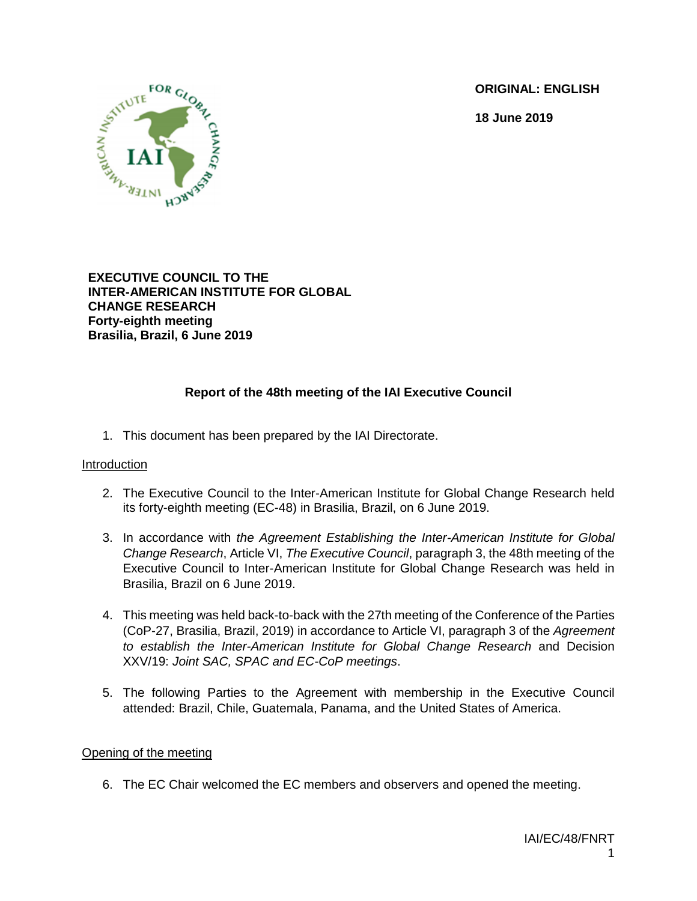**ORIGINAL: ENGLISH**

**18 June 2019**



# **EXECUTIVE COUNCIL TO THE INTER-AMERICAN INSTITUTE FOR GLOBAL CHANGE RESEARCH Forty-eighth meeting Brasilia, Brazil, 6 June 2019**

# **Report of the 48th meeting of the IAI Executive Council**

1. This document has been prepared by the IAI Directorate.

# Introduction

- 2. The Executive Council to the Inter-American Institute for Global Change Research held its forty-eighth meeting (EC-48) in Brasilia, Brazil, on 6 June 2019.
- 3. In accordance with *the Agreement Establishing the Inter-American Institute for Global Change Research*, Article VI, *The Executive Council*, paragraph 3, the 48th meeting of the Executive Council to Inter-American Institute for Global Change Research was held in Brasilia, Brazil on 6 June 2019.
- 4. This meeting was held back-to-back with the 27th meeting of the Conference of the Parties (CoP-27, Brasilia, Brazil, 2019) in accordance to Article VI, paragraph 3 of the *Agreement to establish the Inter-American Institute for Global Change Research* and Decision XXV/19: *Joint SAC, SPAC and EC-CoP meetings*.
- 5. The following Parties to the Agreement with membership in the Executive Council attended: Brazil, Chile, Guatemala, Panama, and the United States of America.

# Opening of the meeting

6. The EC Chair welcomed the EC members and observers and opened the meeting.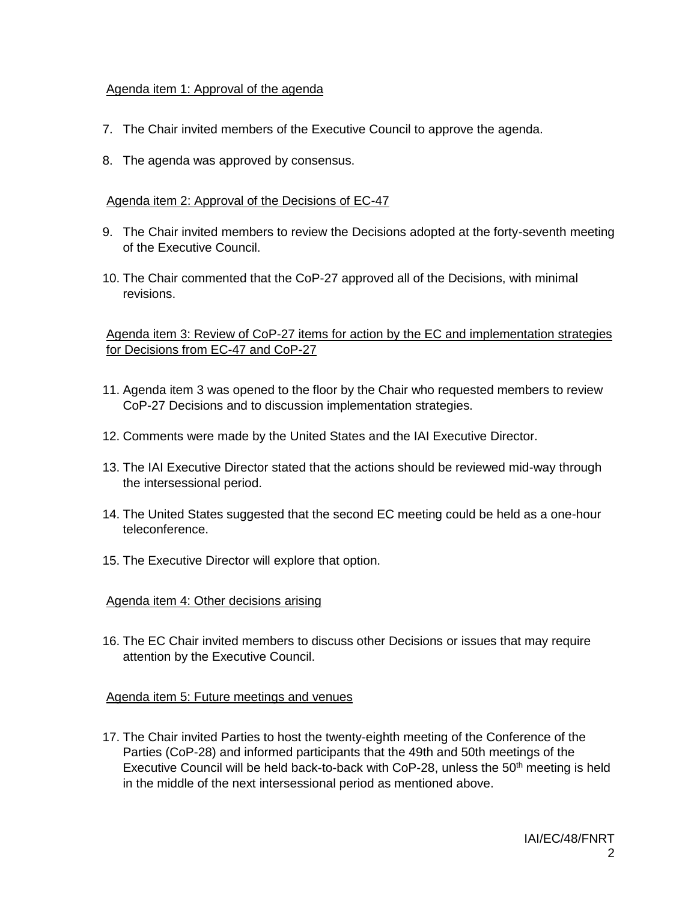# Agenda item 1: Approval of the agenda

- 7. The Chair invited members of the Executive Council to approve the agenda.
- 8. The agenda was approved by consensus.

# Agenda item 2: Approval of the Decisions of EC-47

- 9. The Chair invited members to review the Decisions adopted at the forty-seventh meeting of the Executive Council.
- 10. The Chair commented that the CoP-27 approved all of the Decisions, with minimal revisions.

Agenda item 3: Review of CoP-27 items for action by the EC and implementation strategies for Decisions from EC-47 and CoP-27

- 11. Agenda item 3 was opened to the floor by the Chair who requested members to review CoP-27 Decisions and to discussion implementation strategies.
- 12. Comments were made by the United States and the IAI Executive Director.
- 13. The IAI Executive Director stated that the actions should be reviewed mid-way through the intersessional period.
- 14. The United States suggested that the second EC meeting could be held as a one-hour teleconference.
- 15. The Executive Director will explore that option.

# Agenda item 4: Other decisions arising

16. The EC Chair invited members to discuss other Decisions or issues that may require attention by the Executive Council.

# Agenda item 5: Future meetings and venues

17. The Chair invited Parties to host the twenty-eighth meeting of the Conference of the Parties (CoP-28) and informed participants that the 49th and 50th meetings of the Executive Council will be held back-to-back with  $CoP-28$ , unless the  $50<sup>th</sup>$  meeting is held in the middle of the next intersessional period as mentioned above.